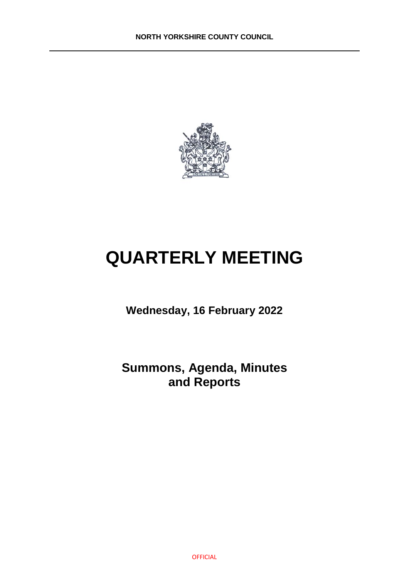

# **QUARTERLY MEETING**

**Wednesday, 16 February 2022**

**Summons, Agenda, Minutes and Reports**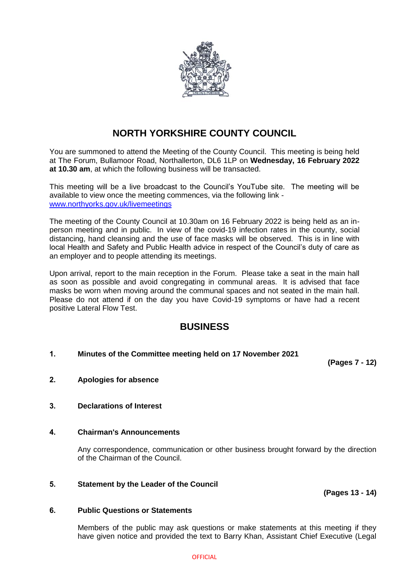

# **NORTH YORKSHIRE COUNTY COUNCIL**

You are summoned to attend the Meeting of the County Council. This meeting is being held at The Forum, Bullamoor Road, Northallerton, DL6 1LP on **Wednesday, 16 February 2022 at 10.30 am**, at which the following business will be transacted.

This meeting will be a live broadcast to the Council's YouTube site. The meeting will be available to view once the meeting commences, via the following link [www.northyorks.gov.uk/livemeetings](http://www.northyorks.gov.uk/livemeetings) 

The meeting of the County Council at 10.30am on 16 February 2022 is being held as an inperson meeting and in public. In view of the covid-19 infection rates in the county, social distancing, hand cleansing and the use of face masks will be observed. This is in line with local Health and Safety and Public Health advice in respect of the Council's duty of care as an employer and to people attending its meetings.

Upon arrival, report to the main reception in the Forum. Please take a seat in the main hall as soon as possible and avoid congregating in communal areas. It is advised that face masks be worn when moving around the communal spaces and not seated in the main hall. Please do not attend if on the day you have Covid-19 symptoms or have had a recent positive Lateral Flow Test.

# **BUSINESS**

## **1. Minutes of the Committee meeting held on 17 November 2021**

**(Pages 7 - 12)**

- **2. Apologies for absence**
- **3. Declarations of Interest**

## **4. Chairman's Announcements**

Any correspondence, communication or other business brought forward by the direction of the Chairman of the Council.

### **5. Statement by the Leader of the Council**

**(Pages 13 - 14)**

#### **6. Public Questions or Statements**

Members of the public may ask questions or make statements at this meeting if they have given notice and provided the text to Barry Khan, Assistant Chief Executive (Legal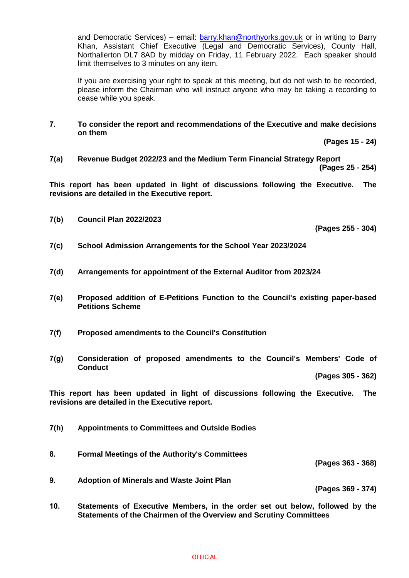and Democratic Services) – email: **barry.khan@northyorks.gov.uk** or in writing to Barry Khan, Assistant Chief Executive (Legal and Democratic Services), County Hall, Northallerton DL7 8AD by midday on Friday, 11 February 2022. Each speaker should limit themselves to 3 minutes on any item.

If you are exercising your right to speak at this meeting, but do not wish to be recorded, please inform the Chairman who will instruct anyone who may be taking a recording to cease while you speak.

**7. To consider the report and recommendations of the Executive and make decisions on them**

**(Pages 15 - 24)**

**7(a) Revenue Budget 2022/23 and the Medium Term Financial Strategy Report**

**(Pages 25 - 254)**

**This report has been updated in light of discussions following the Executive. The revisions are detailed in the Executive report.**

**7(b) Council Plan 2022/2023**

**(Pages 255 - 304)**

- **7(c) School Admission Arrangements for the School Year 2023/2024**
- **7(d) Arrangements for appointment of the External Auditor from 2023/24**
- **7(e) Proposed addition of E-Petitions Function to the Council's existing paper-based Petitions Scheme**
- **7(f) Proposed amendments to the Council's Constitution**
- **7(g) Consideration of proposed amendments to the Council's Members' Code of Conduct**

**(Pages 305 - 362)**

**This report has been updated in light of discussions following the Executive. The revisions are detailed in the Executive report.**

- **7(h) Appointments to Committees and Outside Bodies**
- **8. Formal Meetings of the Authority's Committees (Pages 363 - 368) 9. Adoption of Minerals and Waste Joint Plan**

**(Pages 369 - 374)**

**10. Statements of Executive Members, in the order set out below, followed by the Statements of the Chairmen of the Overview and Scrutiny Committees**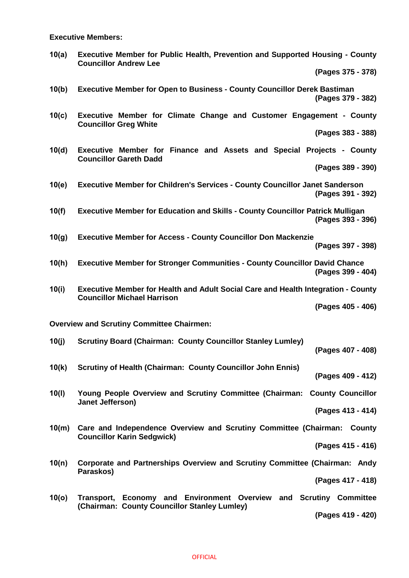**Executive Members:**

| 10(a) | <b>Executive Member for Public Health, Prevention and Supported Housing - County</b> |
|-------|--------------------------------------------------------------------------------------|
|       | <b>Councillor Andrew Lee</b>                                                         |

**(Pages 375 - 378)**

**10(b) Executive Member for Open to Business - County Councillor Derek Bastiman (Pages 379 - 382)**

**10(c) Executive Member for Climate Change and Customer Engagement - County Councillor Greg White**

**(Pages 383 - 388)**

**10(d) Executive Member for Finance and Assets and Special Projects - County Councillor Gareth Dadd**

**(Pages 389 - 390)**

**10(e) Executive Member for Children's Services - County Councillor Janet Sanderson (Pages 391 - 392)**

**10(f) Executive Member for Education and Skills - County Councillor Patrick Mulligan (Pages 393 - 396)**

**10(g) Executive Member for Access - County Councillor Don Mackenzie (Pages 397 - 398)**

**10(h) Executive Member for Stronger Communities - County Councillor David Chance (Pages 399 - 404)**

**10(i) Executive Member for Health and Adult Social Care and Health Integration - County Councillor Michael Harrison**

**(Pages 405 - 406)**

**Overview and Scrutiny Committee Chairmen:**

- **10(j) Scrutiny Board (Chairman: County Councillor Stanley Lumley) (Pages 407 - 408)**
- **10(k) Scrutiny of Health (Chairman: County Councillor John Ennis) (Pages 409 - 412)**

**10(l) Young People Overview and Scrutiny Committee (Chairman: County Councillor Janet Jefferson)**

**(Pages 413 - 414)**

**10(m) Care and Independence Overview and Scrutiny Committee (Chairman: County Councillor Karin Sedgwick)**

**(Pages 415 - 416)**

**10(n) Corporate and Partnerships Overview and Scrutiny Committee (Chairman: Andy Paraskos)**

**(Pages 417 - 418)**

**10(o) Transport, Economy and Environment Overview and Scrutiny Committee (Chairman: County Councillor Stanley Lumley)**

**(Pages 419 - 420)**